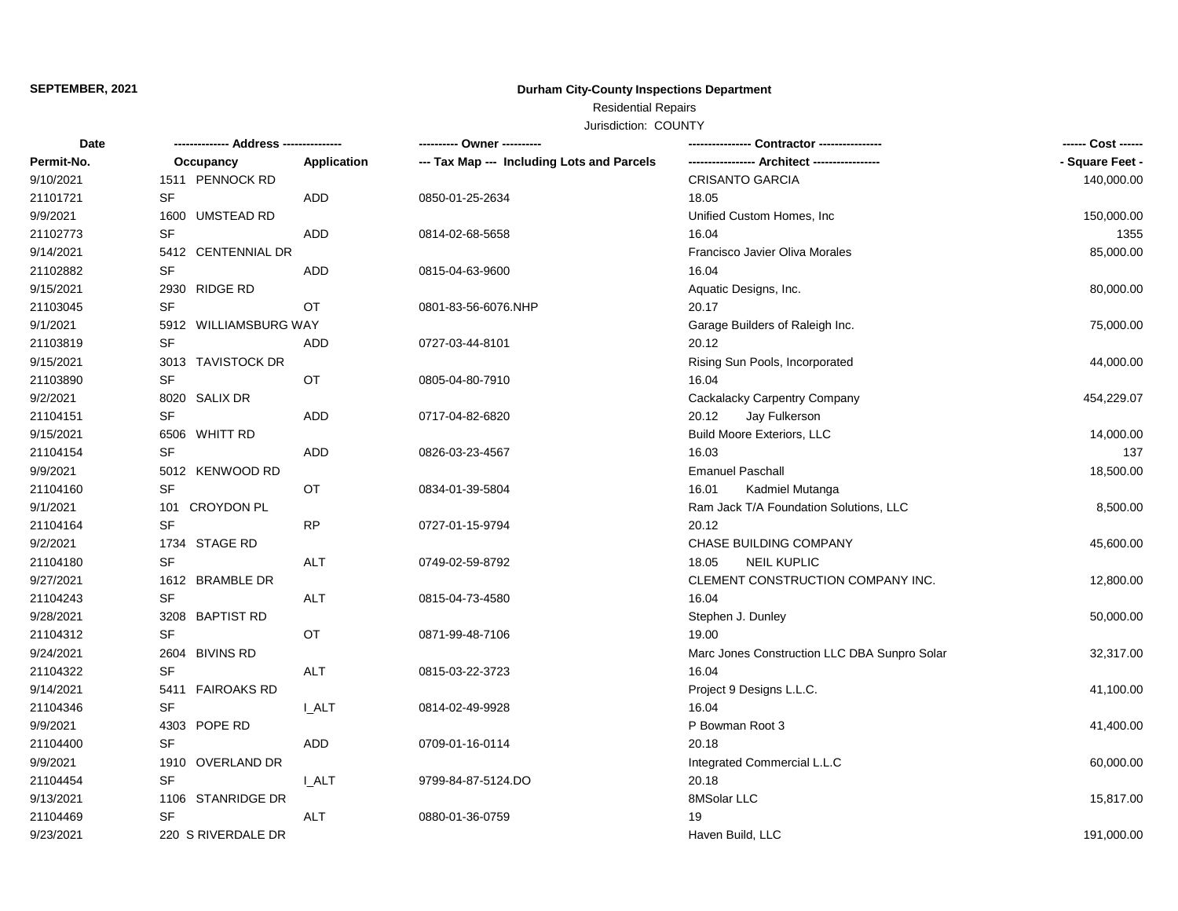#### **SEPTEMBER, 2021**

# **Durham City-County Inspections Department**

# Residential Repairs

### Jurisdiction: COUNTY

| Date       | -------------- Address --------------- |                    | ---------- Owner ----------                |                                              | ------ Cost ------ |
|------------|----------------------------------------|--------------------|--------------------------------------------|----------------------------------------------|--------------------|
| Permit-No. | Occupancy                              | <b>Application</b> | --- Tax Map --- Including Lots and Parcels |                                              | - Square Feet -    |
| 9/10/2021  | 1511 PENNOCK RD                        |                    |                                            | <b>CRISANTO GARCIA</b>                       | 140,000.00         |
| 21101721   | SF                                     | ADD                | 0850-01-25-2634                            | 18.05                                        |                    |
| 9/9/2021   | 1600 UMSTEAD RD                        |                    |                                            | Unified Custom Homes, Inc.                   | 150,000.00         |
| 21102773   | <b>SF</b>                              | <b>ADD</b>         | 0814-02-68-5658                            | 16.04                                        | 1355               |
| 9/14/2021  | 5412 CENTENNIAL DR                     |                    |                                            | Francisco Javier Oliva Morales               | 85,000.00          |
| 21102882   | SF                                     | ADD                | 0815-04-63-9600                            | 16.04                                        |                    |
| 9/15/2021  | 2930 RIDGE RD                          |                    |                                            | Aquatic Designs, Inc.                        | 80,000.00          |
| 21103045   | SF                                     | OT                 | 0801-83-56-6076.NHP                        | 20.17                                        |                    |
| 9/1/2021   | 5912 WILLIAMSBURG WAY                  |                    |                                            | Garage Builders of Raleigh Inc.              | 75,000.00          |
| 21103819   | <b>SF</b>                              | <b>ADD</b>         | 0727-03-44-8101                            | 20.12                                        |                    |
| 9/15/2021  | 3013 TAVISTOCK DR                      |                    |                                            | Rising Sun Pools, Incorporated               | 44,000.00          |
| 21103890   | <b>SF</b>                              | OT                 | 0805-04-80-7910                            | 16.04                                        |                    |
| 9/2/2021   | 8020 SALIX DR                          |                    |                                            | Cackalacky Carpentry Company                 | 454,229.07         |
| 21104151   | <b>SF</b>                              | ADD                | 0717-04-82-6820                            | 20.12<br>Jay Fulkerson                       |                    |
| 9/15/2021  | 6506 WHITT RD                          |                    |                                            | <b>Build Moore Exteriors, LLC</b>            | 14,000.00          |
| 21104154   | <b>SF</b>                              | ADD                | 0826-03-23-4567                            | 16.03                                        | 137                |
| 9/9/2021   | 5012 KENWOOD RD                        |                    |                                            | <b>Emanuel Paschall</b>                      | 18,500.00          |
| 21104160   | <b>SF</b>                              | OT                 | 0834-01-39-5804                            | 16.01<br>Kadmiel Mutanga                     |                    |
| 9/1/2021   | 101 CROYDON PL                         |                    |                                            | Ram Jack T/A Foundation Solutions, LLC       | 8,500.00           |
| 21104164   | <b>SF</b>                              | <b>RP</b>          | 0727-01-15-9794                            | 20.12                                        |                    |
| 9/2/2021   | 1734 STAGE RD                          |                    |                                            | CHASE BUILDING COMPANY                       | 45,600.00          |
| 21104180   | <b>SF</b>                              | <b>ALT</b>         | 0749-02-59-8792                            | 18.05<br><b>NEIL KUPLIC</b>                  |                    |
| 9/27/2021  | 1612 BRAMBLE DR                        |                    |                                            | CLEMENT CONSTRUCTION COMPANY INC.            | 12,800.00          |
| 21104243   | <b>SF</b>                              | ALT                | 0815-04-73-4580                            | 16.04                                        |                    |
| 9/28/2021  | 3208 BAPTIST RD                        |                    |                                            | Stephen J. Dunley                            | 50,000.00          |
| 21104312   | <b>SF</b>                              | OT                 | 0871-99-48-7106                            | 19.00                                        |                    |
| 9/24/2021  | 2604 BIVINS RD                         |                    |                                            | Marc Jones Construction LLC DBA Sunpro Solar | 32,317.00          |
| 21104322   | <b>SF</b>                              | <b>ALT</b>         | 0815-03-22-3723                            | 16.04                                        |                    |
| 9/14/2021  | 5411 FAIROAKS RD                       |                    |                                            | Project 9 Designs L.L.C.                     | 41,100.00          |
| 21104346   | <b>SF</b>                              | <b>LALT</b>        | 0814-02-49-9928                            | 16.04                                        |                    |
| 9/9/2021   | 4303 POPE RD                           |                    |                                            | P Bowman Root 3                              | 41,400.00          |
| 21104400   | <b>SF</b>                              | ADD                | 0709-01-16-0114                            | 20.18                                        |                    |
| 9/9/2021   | 1910 OVERLAND DR                       |                    |                                            | Integrated Commercial L.L.C                  | 60,000.00          |
| 21104454   | <b>SF</b>                              | I ALT              | 9799-84-87-5124.DO                         | 20.18                                        |                    |
| 9/13/2021  | 1106 STANRIDGE DR                      |                    |                                            | 8MSolar LLC                                  | 15,817.00          |
| 21104469   | <b>SF</b>                              | ALT                | 0880-01-36-0759                            | 19                                           |                    |
| 9/23/2021  | 220 S RIVERDALE DR                     |                    |                                            | Haven Build, LLC                             | 191,000.00         |